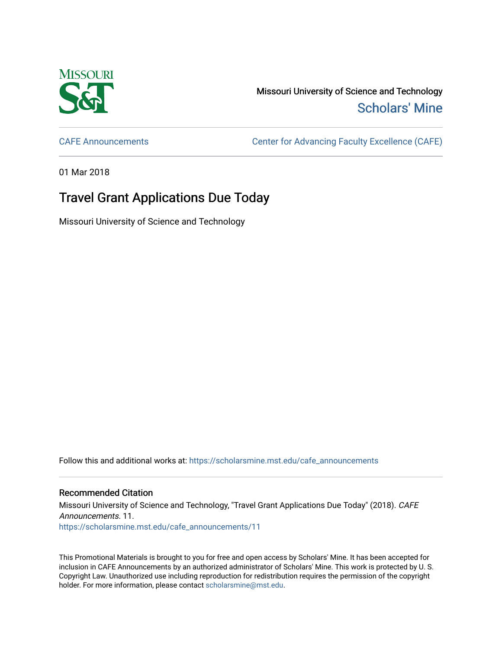

Missouri University of Science and Technology [Scholars' Mine](https://scholarsmine.mst.edu/) 

[CAFE Announcements](https://scholarsmine.mst.edu/cafe_announcements) [Center for Advancing Faculty Excellence \(CAFE\)](https://scholarsmine.mst.edu/cafe) 

01 Mar 2018

## Travel Grant Applications Due Today

Missouri University of Science and Technology

Follow this and additional works at: [https://scholarsmine.mst.edu/cafe\\_announcements](https://scholarsmine.mst.edu/cafe_announcements?utm_source=scholarsmine.mst.edu%2Fcafe_announcements%2F11&utm_medium=PDF&utm_campaign=PDFCoverPages) 

## Recommended Citation

Missouri University of Science and Technology, "Travel Grant Applications Due Today" (2018). CAFE Announcements. 11. [https://scholarsmine.mst.edu/cafe\\_announcements/11](https://scholarsmine.mst.edu/cafe_announcements/11?utm_source=scholarsmine.mst.edu%2Fcafe_announcements%2F11&utm_medium=PDF&utm_campaign=PDFCoverPages)

This Promotional Materials is brought to you for free and open access by Scholars' Mine. It has been accepted for inclusion in CAFE Announcements by an authorized administrator of Scholars' Mine. This work is protected by U. S. Copyright Law. Unauthorized use including reproduction for redistribution requires the permission of the copyright holder. For more information, please contact [scholarsmine@mst.edu.](mailto:scholarsmine@mst.edu)